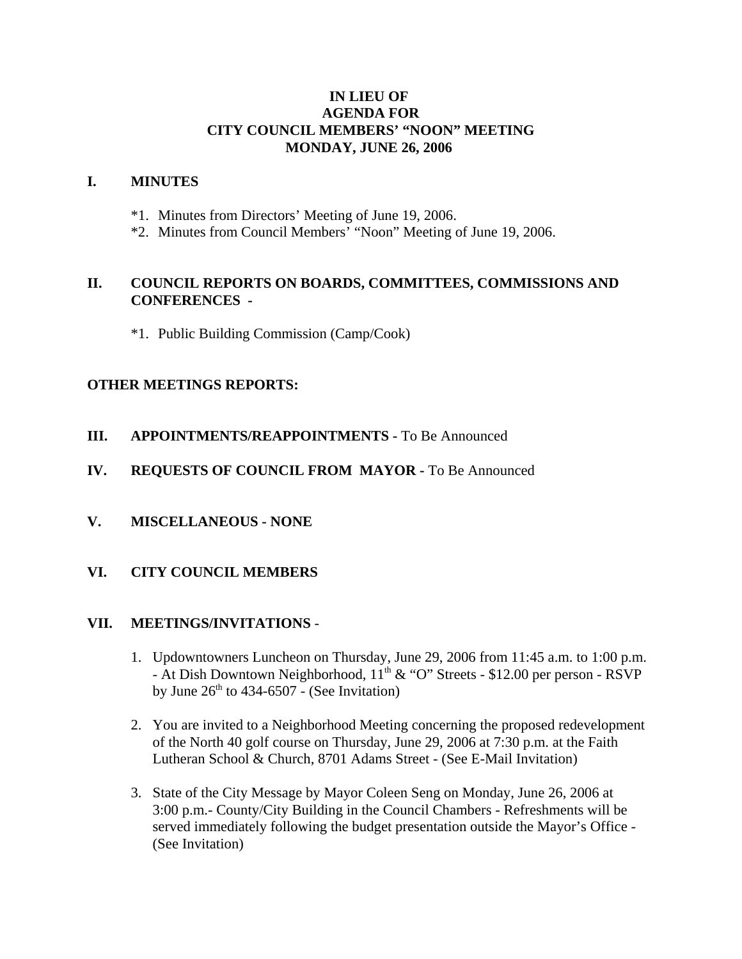# **IN LIEU OF AGENDA FOR CITY COUNCIL MEMBERS' "NOON" MEETING MONDAY, JUNE 26, 2006**

#### **I. MINUTES**

- \*1. Minutes from Directors' Meeting of June 19, 2006.
- \*2. Minutes from Council Members' "Noon" Meeting of June 19, 2006.

# **II. COUNCIL REPORTS ON BOARDS, COMMITTEES, COMMISSIONS AND CONFERENCES -**

\*1. Public Building Commission (Camp/Cook)

### **OTHER MEETINGS REPORTS:**

- **III.** APPOINTMENTS/REAPPOINTMENTS To Be Announced
- **IV. REQUESTS OF COUNCIL FROM MAYOR -** To Be Announced
- **V. MISCELLANEOUS NONE**

#### **VI. CITY COUNCIL MEMBERS**

#### **VII. MEETINGS/INVITATIONS** -

- 1. Updowntowners Luncheon on Thursday, June 29, 2006 from 11:45 a.m. to 1:00 p.m. - At Dish Downtown Neighborhood,  $11^{th} \& ^{\circ}$ "O" Streets - \$12.00 per person - RSVP by June  $26<sup>th</sup>$  to 434-6507 - (See Invitation)
- 2. You are invited to a Neighborhood Meeting concerning the proposed redevelopment of the North 40 golf course on Thursday, June 29, 2006 at 7:30 p.m. at the Faith Lutheran School & Church, 8701 Adams Street - (See E-Mail Invitation)
- 3. State of the City Message by Mayor Coleen Seng on Monday, June 26, 2006 at 3:00 p.m.- County/City Building in the Council Chambers - Refreshments will be served immediately following the budget presentation outside the Mayor's Office - (See Invitation)